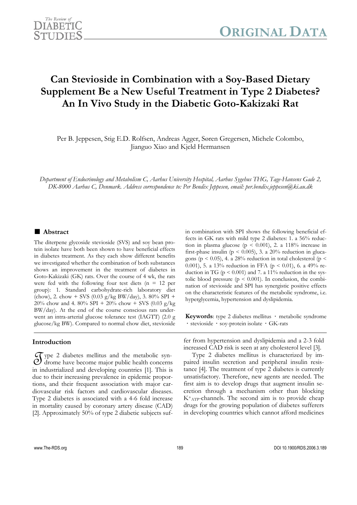

# **Can Stevioside in Combination with a Soy-Based Dietary Supplement Be a New Useful Treatment in Type 2 Diabetes? An In Vivo Study in the Diabetic Goto-Kakizaki Rat**

Per B. Jeppesen, Stig E.D. Rolfsen, Andreas Agger, Søren Gregersen, Michele Colombo, Jianguo Xiao and Kjeld Hermansen

*Department of Endocrinology and Metabolism C, Aarhus University Hospital, Aarhus Sygehus THG, Tage-Hansens Gade 2, DK-8000 Aarhus C, Denmark. Address correspondence to: Per Bendix Jeppesen, email: per.bendix.jeppesen@ki.au.dk* 

# **■ Abstract**

The diterpene glycoside stevioside (SVS) and soy bean protein isolate have both been shown to have beneficial effects in diabetes treatment. As they each show different benefits we investigated whether the combination of both substances shows an improvement in the treatment of diabetes in Goto-Kakizaki (GK) rats. Over the course of 4 wk, the rats were fed with the following four test diets ( $n = 12$  per group): 1. Standard carbohydrate-rich laboratory diet (chow), 2. chow + SVS (0.03 g/kg BW/day), 3. 80% SPI + 20% chow and 4. 80% SPI + 20% chow + SVS (0.03 g/kg BW/day). At the end of the course conscious rats underwent an intra-arterial glucose tolerance test (IAGTT) (2.0 g glucose/kg BW). Compared to normal chow diet, stevioside

# **Introduction**

 $\mathcal{F}$  ype 2 diabetes mellitus and the metabolic syn-<br> $\mathcal{O}$  drome have become major public health concerns drome have become major public health concerns in industrialized and developing countries [1]. This is due to their increasing prevalence in epidemic proportions, and their frequent association with major cardiovascular risk factors and cardiovascular diseases. Type 2 diabetes is associated with a 4-6 fold increase in mortality caused by coronary artery disease (CAD) [2]. Approximately 50% of type 2 diabetic subjects suf-

in combination with SPI shows the following beneficial effects in GK rats with mild type 2 diabetes: 1. a 56% reduction in plasma glucose ( $p < 0.001$ ), 2. a 118% increase in first-phase insulin ( $p < 0.005$ ), 3. a 20% reduction in glucagons ( $p < 0.05$ ), 4. a 28% reduction in total cholesterol ( $p <$ 0.001), 5. a 13% reduction in FFA ( $p < 0.01$ ), 6. a 49% reduction in TG ( $p < 0.001$ ) and 7. a 11% reduction in the systolic blood pressure  $(p < 0.001)$ . In conclusion, the combination of stevioside and SPI has synergistic positive effects on the characteristic features of the metabolic syndrome, i.e. hyperglycemia, hypertension and dyslipidemia.

**Keywords**: type 2 diabetes mellitus **·** metabolic syndrome **·** stevioside **·** soy-protein isolate **·** GK-rats

fer from hypertension and dyslipidemia and a 2-3 fold increased CAD risk is seen at any cholesterol level [3].

Type 2 diabetes mellitus is characterized by impaired insulin secretion and peripheral insulin resistance [4]. The treatment of type 2 diabetes is currently unsatisfactory. Therefore, new agents are needed. The first aim is to develop drugs that augment insulin secretion through a mechanism other than blocking  $K^+$ <sub>ATP</sub>-channels. The second aim is to provide cheap drugs for the growing population of diabetes sufferers in developing countries which cannot afford medicines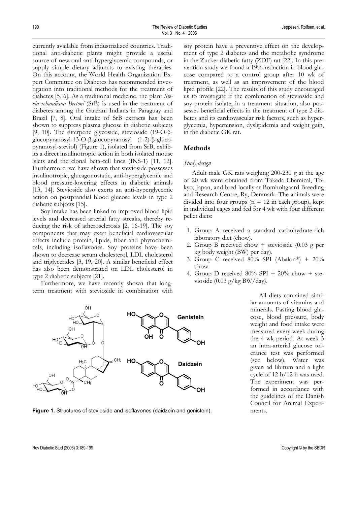currently available from industrialized countries. Traditional anti-diabetic plants might provide a useful source of new oral anti-hyperglycemic compounds, or supply simple dietary adjuncts to existing therapies. On this account, the World Health Organization Expert Committee on Diabetes has recommended investigation into traditional methods for the treatment of diabetes [5, 6]. As a traditional medicine, the plant *Stevia rebaudiana Bertoni* (SrB) is used in the treatment of diabetes among the Guarani Indians in Paraguay and Brazil [7, 8]. Oral intake of SrB extracts has been shown to suppress plasma glucose in diabetic subjects [9, 10]. The diterpene glycoside, stevioside (19-O-βglucopyranosyl-13-O-β-glucopyranosyl (1-2)-β-glucopyranosyl-steviol) (Figure 1), isolated from SrB, exhibits a direct insulinotropic action in both isolated mouse islets and the clonal beta-cell lines (INS-1) [11, 12]. Furthermore, we have shown that stevioside possesses insulinotropic, glucagonostatic, anti-hyperglycemic and blood pressure-lowering effects in diabetic animals [13, 14]. Stevioside also exerts an anti-hyperglycemic action on postprandial blood glucose levels in type 2 diabetic subjects [15].

Soy intake has been linked to improved blood lipid levels and decreased arterial fatty streaks, thereby reducing the risk of atherosclerosis [2, 16-19]. The soy components that may exert beneficial cardiovascular effects include protein, lipids, fiber and phytochemicals, including isoflavones. Soy proteins have been shown to decrease serum cholesterol, LDL cholesterol and triglycerides [3, 19, 20]. A similar beneficial effect has also been demonstrated on LDL cholesterol in type 2 diabetic subjects [21].

Furthermore, we have recently shown that longterm treatment with stevioside in combination with

soy protein have a preventive effect on the development of type 2 diabetes and the metabolic syndrome in the Zucker diabetic fatty (ZDF) rat [22]. In this prevention study we found a 19% reduction in blood glucose compared to a control group after 10 wk of treatment, as well as an improvement of the blood lipid profile [22]. The results of this study encouraged us to investigate if the combination of stevioside and soy-protein isolate, in a treatment situation, also possesses beneficial effects in the treatment of type 2 diabetes and its cardiovascular risk factors, such as hyperglycemia, hypertension, dyslipidemia and weight gain, in the diabetic GK rat.

# **Methods**

## *Study design*

Adult male GK rats weighing 200-230 g at the age of 20 wk were obtained from Takeda Chemical, Tokyo, Japan, and bred locally at Bomholtgaard Breeding and Research Centre, Ry, Denmark. The animals were divided into four groups ( $n = 12$  in each group), kept in individual cages and fed for 4 wk with four different pellet diets:

- 1. Group A received a standard carbohydrate-rich laboratory diet (chow).
- 2. Group B received chow + stevioside (0.03 g per kg body weight (BW) per day).
- 3. Group C received 80% SPI (Abalon®) + 20% chow.
- 4. Group D received  $80\%$  SPI +  $20\%$  chow + stevioside (0.03 g/kg BW/day).

All diets contained similar amounts of vitamins and minerals. Fasting blood glucose, blood pressure, body weight and food intake were measured every week during the 4 wk period. At week 3 an intra-arterial glucose tolerance test was performed (see below). Water was given ad libitum and a light cycle of 12 h/12 h was used. The experiment was performed in accordance with the guidelines of the Danish Council for Animal Experiments.



**Figure 1.** Structures of stevioside and isoflavones (daidzein and genistein).

Rev Diabetic Stud (2006) 3:189-199 Copyright © by the SBDR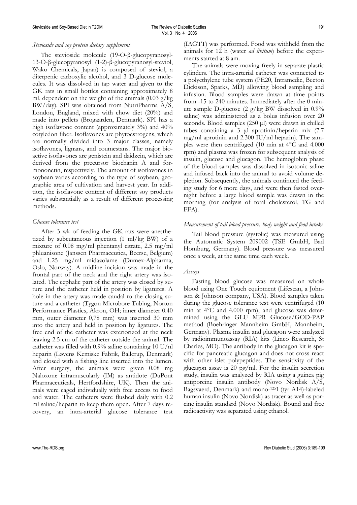#### *Stevioside and soy protein dietary supplement*

The stevioside molecule (19-O-β-glucopyranosyl-13-O-β-glucopyranosyl (1-2)-β-glucopyranosyl-steviol, Wako Chemicals, Japan) is composed of steviol, a diterpenic carboxylic alcohol, and 3 D-glucose molecules. It was dissolved in tap water and given to the GK rats in small bottles containing approximately 8 ml, dependent on the weight of the animals  $(0.03 \text{ g/kg})$ BW/day). SPI was obtained from NutriPharma A/S, London, England, mixed with chow diet (20%) and made into pellets (Brogaarden, Denmark). SPI has a high isoflavone content (approximately 3%) and 40% cotyledon fiber. Isoflavones are phytoestrogens, which are normally divided into 3 major classes, namely isoflavones, lignans, and coumestans. The major bioactive isoflavones are genistein and daidzein, which are derived from the precursor biochanin A and formononetin, respectively. The amount of isoflavones in soybean varies according to the type of soybean, geographic area of cultivation and harvest year. In addition, the isoflavone content of different soy products varies substantially as a result of different processing methods.

#### *Glucose tolerance test*

After 3 wk of feeding the GK rats were anesthetized by subcutaneous injection (1 ml/kg BW) of a mixture of 0.08 mg/ml phentanyl citrate, 2.5 mg/ml phluanisone (Janssen Pharmaceutica, Beerse, Belgium) and 1.25 mg/ml midazolame (Dumex-Alpharma, Oslo, Norway). A midline incision was made in the frontal part of the neck and the right artery was isolated. The cephalic part of the artery was closed by suture and the catheter held in position by ligatures. A hole in the artery was made caudal to the closing suture and a catheter (Tygon Microbore Tubing, Norton Performance Plastics, Akron, OH; inner diameter 0.40 mm, outer diameter 0,78 mm) was inserted 30 mm into the artery and held in position by ligatures. The free end of the catheter was exteriorized at the neck leaving 2.5 cm of the catheter outside the animal. The catheter was filled with 0.9% saline containing 10 U/nl heparin (Løvens Kemiske Fabrik, Ballerup, Denmark) and closed with a fishing line inserted into the lumen. After surgery, the animals were given 0.08 mg Naloxone intramuscularly (IM) as antidote (DuPont Pharmaceuticals, Hertfordshire, UK). Then the animals were caged individually with free access to food and water. The catheters were flushed daily with 0.2 ml saline/heparin to keep them open. After 7 days recovery, an intra-arterial glucose tolerance test

(IAGTT) was performed. Food was withheld from the animals for 12 h (water *ad libitum*) before the experiments started at 8 am.

The animals were moving freely in separate plastic cylinders. The intra-arterial catheter was connected to a polyethylene tube system (PE20, Intramedic, Becton Dickison, Sparks, MD) allowing blood sampling and infusion. Blood samples were drawn at time points from -15 to 240 minutes. Immediately after the  $\overline{0}$  minute sample D-glucose (2 g/kg BW dissolved in 0.9% saline) was administered as a bolus infusion over 20 seconds. Blood samples (250 µl) were drawn in chilled tubes containing a 3 µl aprotinin/heparin mix (7.7 mg/ml aprotinin and 2.300 IU/ml heparin). The samples were then centrifuged (10 min at 4°C and 4.000 rpm) and plasma was frozen for subsequent analysis of insulin, glucose and glucagon. The hemoglobin phase of the blood samples was dissolved in isotonic saline and infused back into the animal to avoid volume depletion. Subsequently, the animals continued the feeding study for 6 more days, and were then fasted overnight before a large blood sample was drawn in the morning (for analysis of total cholesterol, TG and FFA).

#### *Measurement of tail blood pressure, body weight and food intake*

Tail blood pressure (systolic) was measured using the Automatic System 209002 (TSE GmbH, Bad Homburg, Germany). Blood pressure was measured once a week, at the same time each week.

## *Assays*

Fasting blood glucose was measured on whole blood using One Touch equipment (Lifescan, a Johnson & Johnson company, USA). Blood samples taken during the glucose tolerance test were centrifuged (10 min at 4°C and 4.000 rpm), and glucose was determined using the GLU MPR Glucose/GOD-PAP method (Boehringer Mannheim GmbH, Mannheim, Germany). Plasma insulin and glucagon were analyzed by radioimmunoassay (RIA) kits (Linco Research, St Charles, MO). The antibody in the glucagon kit is specific for pancreatic glucagon and does not cross react with other islet polypeptides. The sensitivity of the glucagon assay is 20 pg/ml. For the insulin secretion study, insulin was analyzed by RIA using a guinea pig antiporcine insulin antibody (Novo Nordisk A/S, Bagsvaerd, Denmark) and mono-125I (tyr A14)-labeled human insulin (Novo Nordisk) as tracer as well as porcine insulin standard (Novo Nordisk). Bound and free radioactivity was separated using ethanol.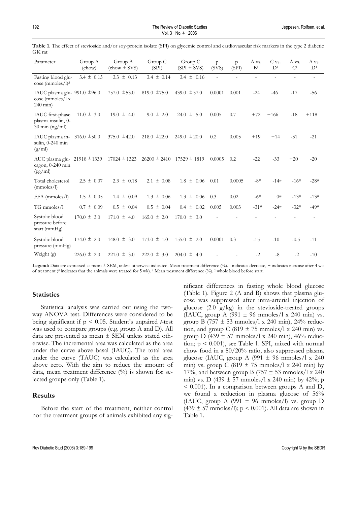| Parameter                                                                                         | Group A<br>(chow) | Group B<br>$(chow + SVS)$ | Group C<br>(SPI) | Group C<br>$(SPI + SVS)$ | $\mathsf{p}$<br>(SVS) | $\mathsf{p}$<br>(SPI) | A vs.<br>B <sup>1</sup> | C vs.<br>D <sup>1</sup> | A vs.<br>C <sup>1</sup> | A vs.<br>D <sup>1</sup> |
|---------------------------------------------------------------------------------------------------|-------------------|---------------------------|------------------|--------------------------|-----------------------|-----------------------|-------------------------|-------------------------|-------------------------|-------------------------|
| Fasting blood glu-<br>$\csc$ (mmoles/1) <sup>2</sup>                                              | $3.4 \pm 0.15$    | $3.3 \pm 0.13$            | 3.4 $\pm$ 0.14   | $3.4 \pm 0.16$           | $\overline{a}$        | $\overline{a}$        | $\overline{a}$          | $\overline{a}$          | $\overline{a}$          | $\sim$                  |
| IAUC plasma glu- 991.0 $\pm$ 96.0<br>$\csc$ (mmoles/l x<br>$240 \text{ min}$                      |                   | 757.0 $\pm$ 53.0          | $819.0 \pm 75.0$ | 439.0 $\pm$ 57.0         | 0.0001                | 0.001                 | $-24$                   | $-46$                   | $-17$                   | $-56$                   |
| IAUC first-phase<br>plasma insulin, 0-<br>$30 \text{ min (ng/ml)}$                                | $11.0 \pm 3.0$    | $19.0 \pm 4.0$            | $9.0 \pm 2.0$    | $24.0 \pm 5.0$           | 0.005                 | 0.7                   | $+72$                   | $+166$                  | $-18$                   | $+118$                  |
| IAUC plasma in-<br>sulin, 0-240 min<br>(g/ml)                                                     | $316.0 \pm 50.0$  | 375.0 $\pm 42.0$          | $218.0 \pm 22.0$ | $249.0 \pm 20.0$         | 0.2                   | 0.005                 | $+19$                   | $+14$                   | $-31$                   | $-21$                   |
| AUC plasma glu-21918 ± 1339 17024 ± 1323 26200 ± 2410 17529 ± 1819<br>cagon, 0-240 min<br>(pg/ml) |                   |                           |                  |                          | 0.0005                | 0.2                   | $-22$                   | $-33$                   | $+20$                   | $-20$                   |
| Total cholesterol<br>(mmoles/l)                                                                   | $2.5 \pm 0.07$    | $2.3 \pm 0.18$            | $2.1 \pm 0.08$   | 1.8<br>$\pm$ 0.06        | 0.01                  | 0.0005                | $-8#$                   | $-14#$                  | $-16#$                  | $-28#$                  |
| $FFA$ (mmoles/l)                                                                                  | $1.5 \pm 0.05$    | $1.4 \pm 0.09$            | $1.3 \pm 0.06$   | $1.3 \pm 0.06$           | 0.3                   | 0.02                  | $-6#$                   | 0#                      | $-13#$                  | $-13#$                  |
| TG mmoles/1                                                                                       | $0.7 \pm 0.09$    | $0.5 \pm 0.04$            | $0.5 \pm 0.04$   | $0.4 \pm 0.02$           | 0.005                 | 0.003                 | $-31#$                  | $-24#$                  | $-32#$                  | $-49#$                  |
| Systolic blood<br>pressure before<br>start (mmHg)                                                 | $170.0 \pm 3.0$   | $171.0 \pm 4.0$           | $165.0 \pm 2.0$  | $170.0 \pm 3.0$          |                       |                       |                         |                         |                         |                         |
| Systolic blood<br>pressure (mmHg)                                                                 | $174.0 \pm 2.0$   | $148.0 \pm 3.0$           | $173.0 \pm 1.0$  | $155.0 \pm 2.0$          | 0.0001                | 0.3                   | $-15$                   | $-10$                   | $-0.5$                  | $-11$                   |
| Weight (g)                                                                                        | $226.0 \pm 2.0$   | $221.0 \pm 3.0$           | $222.0 \pm 3.0$  | $204.0 \pm$<br>4.0       |                       |                       | $-2$                    | $-8$                    | $-2$                    | $-10$                   |

**Table 1.** The effect of stevioside and/or soy-protein isolate (SPI) on glycemic control and cardiovascular risk markers in the type 2 diabetic GK rat

**Legend:** Data are expressed as mean ± SEM, unless otherwise indicated. Mean treatment difference (%). - indicates decrease, + indicates increase after 4 wk of treatment (# indicates that the animals were treated for 5 wk). 1 Mean treatment difference (%). 2 whole blood before start.

## **Statistics**

Statistical analysis was carried out using the twoway ANOVA test. Differences were considered to be being significant if p < 0.05. Student's unpaired *t*-test was used to compare groups (e.g. group A and D). All data are presented as mean ± SEM unless stated otherwise. The incremental area was calculated as the area under the curve above basal (IAUC). The total area under the curve (TAUC) was calculated as the area above zero. With the aim to reduce the amount of data, mean treatment difference  $(\%)$  is shown for selected groups only (Table 1).

# **Results**

Before the start of the treatment, neither control nor the treatment groups of animals exhibited any significant differences in fasting whole blood glucose (Table 1). Figure 2 (A and B) shows that plasma glucose was suppressed after intra-arterial injection of glucose  $(2.0 \text{ g/kg})$  in the stevioside-treated groups (IAUC, group A (991  $\pm$  96 mmoles/l x 240 min) vs. group B (757  $\pm$  53 mmoles/l x 240 min), 24% reduction, and group C (819  $\pm$  75 mmoles/l x 240 min) vs. group D (439  $\pm$  57 mmoles/l x 240 min), 46% reduction;  $p < 0.001$ ), see Table 1. SPI, mixed with normal chow food in a 80/20% ratio, also suppressed plasma glucose (IAUC, group A (991  $\pm$  96 mmoles/l x 240) min) vs. group C (819  $\pm$  75 mmoles/l x 240 min) by 17%, and between group B (757  $\pm$  53 mmoles/l x 240) min) vs. D (439  $\pm$  57 mmoles/l x 240 min) by 42%; p  $\leq$  0.001). In a comparison between groups A and D, we found a reduction in plasma glucose of 56% (IAUC, group A (991  $\pm$  96 mmoles/l) vs. group D (439  $\pm$  57 mmoles/l); p < 0.001). All data are shown in Table 1.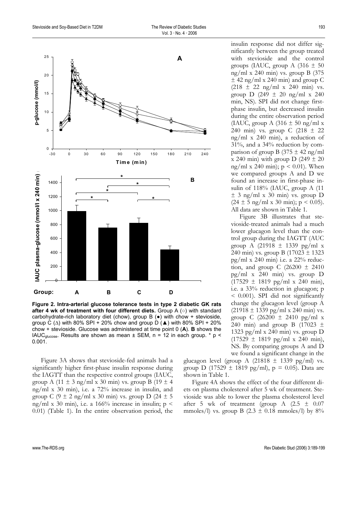

**Figure 2. Intra-arterial glucose tolerance tests in type 2 diabetic GK rats after 4 wk of treatment with four different diets.** Group A (○) with standard carbohydrate-rich laboratory diet (chow), group B (●) with chow + stevioside, group C ( $\Delta$ ) with 80% SPI + 20% chow and group D ( $\triangle$ ) with 80% SPI + 20% chow + stevioside. Glucose was administered at time point 0 (**A**). **B** shows the IAUC<sub>glucose</sub>. Results are shown as mean  $\pm$  SEM, n = 12 in each group. \* p < 0.001.

Figure 3A shows that stevioside-fed animals had a significantly higher first-phase insulin response during the IAGTT than the respective control groups (IAUC, group A (11  $\pm$  3 ng/ml x 30 min) vs. group B (19  $\pm$  4 ng/ml x 30 min), i.e. a 72% increase in insulin, and group C  $(9 \pm 2 \text{ ng/ml x } 30 \text{ min})$  vs. group D  $(24 \pm 5$ ng/ml x 30 min), i.e. a 166% increase in insulin;  $p \le$ 0.01) (Table 1). In the entire observation period, the

insulin response did not differ significantly between the group treated with stevioside and the control groups (IAUC, group A  $(316 \pm 50)$ ng/ml x 240 min) vs. group B (375  $\pm$  42 ng/ml x 240 min) and group C  $(218 \pm 22 \text{ ng/ml x } 240 \text{ min})$  vs. group D (249  $\pm$  20 ng/ml x 240 min, NS). SPI did not change firstphase insulin, but decreased insulin during the entire observation period (IAUC, group A  $(316 \pm 50 \text{ ng/ml x})$ 240 min) vs. group C  $(218 \pm 22)$ ng/ml x 240 min), a reduction of 31%, and a 34% reduction by comparison of group B (375  $\pm$  42 ng/ml x 240 min) with group D (249  $\pm$  20 ng/ml x 240 min);  $p \le 0.01$ ). When we compared groups A and D we found an increase in first-phase insulin of 118% (IAUC, group A (11  $\pm$  3 ng/ml x 30 min) vs. group D  $(24 \pm 5 \text{ ng/ml x } 30 \text{ min}); p < 0.05$ ). All data are shown in Table 1.

Figure 3B illustrates that stevioside-treated animals had a much lower glucagon level than the control group during the IAGTT (AUC group A (21918 ± 1339 pg/ml x 240 min) vs. group B (17023 ± 1323 pg/ml x 240 min) i.e. a  $22\%$  reduction, and group C  $(26200 \pm 2410)$ pg/ml x 240 min) vs. group D  $(17529 \pm 1819 \text{ pg/ml x } 240 \text{ min}),$ i.e. a 33% reduction in glucagon; p < 0.001). SPI did not significantly change the glucagon level (group A  $(21918 \pm 1339 \text{ pg/ml x } 240 \text{ min}) \text{ vs.}$ group C (26200 ± 2410 pg/ml x 240 min) and group B  $(17023 \pm 1)$ 1323 pg/ml x 240 min) vs. group  $D$  $(17529 \pm 1819 \text{ pg/ml x } 240 \text{ min}),$ NS. By comparing groups A and D we found a significant change in the

glucagon level (group A (21818  $\pm$  1339 pg/ml) vs. group D (17529  $\pm$  1819 pg/ml), p = 0.05). Data are shown in Table 1.

Figure 4A shows the effect of the four different diets on plasma cholesterol after 5 wk of treatment. Stevioside was able to lower the plasma cholesterol level after 5 wk of treatment (group A  $(2.5 \pm 0.07)$ mmoles/l) vs. group B  $(2.3 \pm 0.18 \text{ mmoles/l})$  by 8%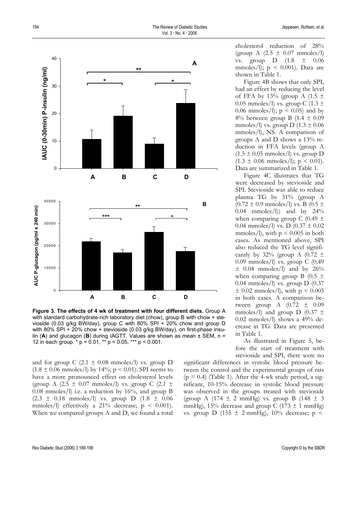

**Figure 3. The effects of 4 wk of treatment with four different diets.** Group A with standard carbohydrate-rich laboratory diet (chow), group B with chow + stevioside (0.03 g/kg BW/day), group C with 80% SPI + 20% chow and group D with 80% SPI + 20% chow + stevioside (0.03 g/kg BW/day), on first-phase insulin (**A**) and glucagon (**B**) during IAGTT. Values are shown as mean ± SEM, n = 12 in each group. \* p < 0.01, \*\* p < 0.05, \*\*\* p < 0.001.

and for group C (2.1  $\pm$  0.08 mmoles/l) vs. group D  $(1.8 \pm 0.06 \text{ mmoles/l})$  by 14%; p < 0.01). SPI seems to have a more pronounced effect on cholesterol levels (group A  $(2.5 \pm 0.07 \text{ mmoles/l})$  vs. group C  $(2.1 \pm 1.00)$ 0.08 mmoles/l) i.e. a reduction by 16%, and group B  $(2.3 \pm 0.18 \, \text{mmoles/l})$  vs. group D  $(1.8 \pm 0.06 \, \text{mmolles/l})$ mmoles/l) effectively a  $21\%$  decrease;  $p < 0.001$ ). When we compared groups A and D, we found a total cholesterol reduction of 28% (group A  $(2.5 \pm 0.07 \text{ mmoles/l})$ vs. group  $D = (1.8 \pm 0.06$ mmoles/l);  $p < 0.001$ ). Data are shown in Table 1.

Figure 4B shows that only SPI, had an effect by reducing the level of FFA by 13% (group A (1.5  $\pm$ 0.05 mmoles/l) vs. group C (1.3  $\pm$ 0.06 mmoles/l);  $p < 0.05$  and by 8% between group B (1.4 ± 0.09 mmoles/l) vs. group D  $(1.3 \pm 0.06)$ mmoles/l), NS. A comparison of groups A and D shows a 13% reduction in FFA levels (group A  $(1.5 \pm 0.05 \text{ mmoles/l})$  vs. group D  $(1.3 \pm 0.06 \text{ mmoles/l}); p \leq 0.01$ ). Data are summarized in Table 1.

Figure 4C illustrates that TG were decreased by stevioside and SPI. Stevioside was able to reduce plasma TG by 31% (group A  $(0.72 \pm 0.9 \text{ mmoles/l})$  vs. B  $(0.5 \pm$  $(0.04 \text{ mmoles/l})$  and by  $24\%$ when comparing group C (0.49  $\pm$ 0.04 mmoles/l) vs. D (0.37  $\pm$  0.02 mmoles/l), with  $p < 0.005$  in both cases. As mentioned above, SPI also reduced the TG level significantly by  $32\%$  (group A (0.72  $\pm$ 0.09 mmoles/l) vs. group C (0.49  $\pm$  0.04 mmoles/l) and by 26% when comparing group B (0.5  $\pm$ 0.04 mmoles/l) vs. group D (0.37  $\pm$  0.02 mmoles/l), with  $p < 0.005$ in both cases. A comparison between group A  $(0.72 \pm 0.09)$ mmoles/l) and group D (0.37  $\pm$ 0.02 mmoles/l) shows a 49% decrease in TG. Data are presented in Table 1.

As illustrated in Figure 5, before the start of treatment with stevioside and SPI, there were no

significant differences in systolic blood pressure between the control and the experimental groups of rats  $(p = 0.4)$  (Table 1). After the 4-wk study period, a significant, 10-15% decrease in systolic blood pressure was observed in the groups treated with stevioside (group A (174  $\pm$  2 mmHg) vs. group B (148  $\pm$  3 mmHg), 15% decrease and group C (173  $\pm$  1 mmHg) vs. group D (155  $\pm$  2 mmHg), 10% decrease; p <

Rev Diabetic Stud (2006) 3:189-199 Copyright © by the SBDR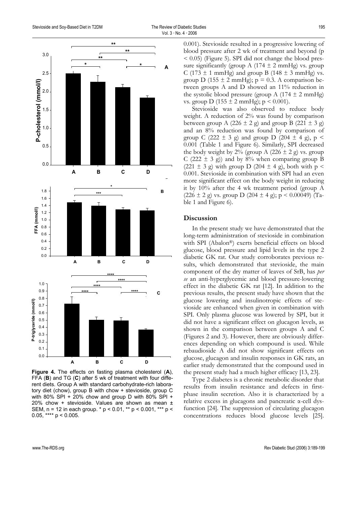

**Figure 4.** The effects on fasting plasma cholesterol (**A**), FFA (**B**) and TG (**C**) after 5 wk of treatment with four different diets. Group A with standard carbohydrate-rich laboratory diet (chow), group B with chow + stevioside, group C with 80% SPI + 20% chow and group D with 80% SPI + 20% chow + stevioside. Values are shown as mean ± SEM, n = 12 in each group. \* p < 0.01, \*\* p < 0.001, \*\*\* p < 0.05, \*\*\*\*  $p < 0.005$ .

0.001). Stevioside resulted in a progressive lowering of blood pressure after 2 wk of treatment and beyond (p  $\leq$  0.05) (Figure 5). SPI did not change the blood pressure significantly (group A (174  $\pm$  2 mmHg) vs. group C (173  $\pm$  1 mmHg) and group B (148  $\pm$  3 mmHg) vs. group D (155  $\pm$  2 mmHg); p = 0.3. A comparison between groups A and D showed an 11% reduction in the systolic blood pressure (group A  $(174 \pm 2 \text{ mmHg})$ vs. group D (155  $\pm$  2 mmHg); p < 0.001).

Stevioside was also observed to reduce body weight. A reduction of  $2\%$  was found by comparison between group A (226  $\pm$  2 g) and group B (221  $\pm$  3 g) and an 8% reduction was found by comparison of group C (222  $\pm$  3 g) and group D (204  $\pm$  4 g), p < 0.001 (Table 1 and Figure 6). Similarly, SPI decreased the body weight by  $2\%$  (group A (226  $\pm$  2 g) vs. group C (222  $\pm$  3 g)) and by 8% when comparing group B  $(221 \pm 3 \text{ g})$  with group D  $(204 \pm 4 \text{ g})$ , both with p < 0.001. Stevioside in combination with SPI had an even more significant effect on the body weight in reducing it by 10% after the 4 wk treatment period (group A  $(226 \pm 2 \text{ g})$  vs. group D  $(204 \pm 4 \text{ g})$ ; p < 0.00049) (Table 1 and Figure 6).

## **Discussion**

In the present study we have demonstrated that the long-term administration of stevioside in combination with SPI (Abalon®) exerts beneficial effects on blood glucose, blood pressure and lipid levels in the type 2 diabetic GK rat. Our study corroborates previous results, which demonstrated that stevioside, the main component of the dry matter of leaves of SrB, has *per se* an anti-hyperglycemic and blood pressure-lowering effect in the diabetic GK rat [12]. In addition to the previous results, the present study have shown that the glucose lowering and insulinotropic effects of stevioside are enhanced when given in combination with SPI. Only plasma glucose was lowered by SPI, but it did not have a significant effect on glucagon levels, as shown in the comparison between groups A and C (Figures 2 and 3). However, there are obviously differences depending on which compound is used. While rebaudioside A did not show significant effects on glucose, glucagon and insulin responses in GK rats, an earlier study demonstrated that the compound used in the present study had a much higher efficacy [13, 23].

Type 2 diabetes is a chronic metabolic disorder that results from insulin resistance and defects in firstphase insulin secretion. Also it is characterized by a relative excess in glucagons and pancreatic α-cell dysfunction [24]. The suppression of circulating glucagon concentrations reduces blood glucose levels [25].

www.The-RDS.org **Rev Diabetic Stud (2006) 3:189-199** Rev Diabetic Stud (2006) 3:189-199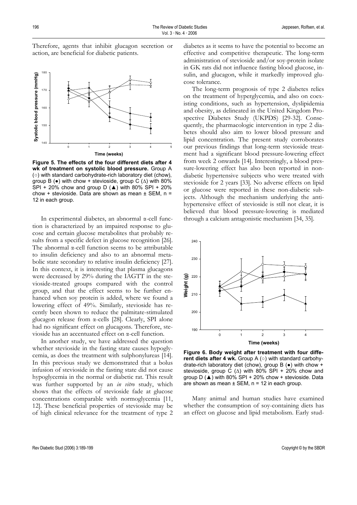Therefore, agents that inhibit glucagon secretion or action, are beneficial for diabetic patients.



**Figure 5. The effects of the four different diets after 4 wk of treatment on systolic blood pressure.** Group A (○) with standard carbohydrate-rich laboratory diet (chow), group B ( $\bullet$ ) with chow + stevioside, group C ( $\Delta$ ) with 80% SPI + 20% chow and group D  $(A)$  with 80% SPI + 20% chow + stevioside. Data are shown as mean  $\pm$  SEM, n = 12 in each group.

In experimental diabetes, an abnormal α-cell function is characterized by an impaired response to glucose and certain glucose metabolites that probably results from a specific defect in glucose recognition [26]. The abnormal α-cell function seems to be attributable to insulin deficiency and also to an abnormal metabolic state secondary to relative insulin deficiency [27]. In this context, it is interesting that plasma glucagons were decreased by 29% during the IAGTT in the stevioside-treated groups compared with the control group, and that the effect seems to be further enhanced when soy protein is added, where we found a lowering effect of 49%. Similarly, stevioside has recently been shown to reduce the palmitate-stimulated glucagon release from α-cells [28]. Clearly, SPI alone had no significant effect on glucagons. Therefore, stevioside has an accentuated effect on α-cell function.

In another study, we have addressed the question whether stevioside in the fasting state causes hypoglycemia, as does the treatment with sulphonylureas [14]. In this previous study we demonstrated that a bolus infusion of stevioside in the fasting state did not cause hypoglycemia in the normal or diabetic rat. This result was further supported by an *in vitro* study, which shows that the effects of stevioside fade at glucose concentrations comparable with normoglycemia [11, 12]. These beneficial properties of stevioside may be of high clinical relevance for the treatment of type 2 diabetes as it seems to have the potential to become an effective and competitive therapeutic. The long-term administration of stevioside and/or soy-protein isolate in GK rats did not influence fasting blood glucose, insulin, and glucagon, while it markedly improved glucose tolerance.

The long-term prognosis of type 2 diabetes relies on the treatment of hyperglycemia, and also on coexisting conditions, such as hypertension, dyslipidemia and obesity, as delineated in the United Kingdom Prospective Diabetes Study (UKPDS) [29-32]. Consequently, the pharmacologic intervention in type 2 diabetes should also aim to lower blood pressure and lipid concentration. The present study corroborates our previous findings that long-term stevioside treatment had a significant blood pressure-lowering effect from week 2 onwards [14]. Interestingly, a blood pressure-lowering effect has also been reported in nondiabetic hypertensive subjects who were treated with stevioside for 2 years [33]. No adverse effects on lipid or glucose were reported in these non-diabetic subjects. Although the mechanism underlying the antihypertensive effect of stevioside is still not clear, it is believed that blood pressure-lowering is mediated through a calcium antagonistic mechanism [34, 35].



**Figure 6. Body weight after treatment with four different diets after 4 wk.** Group A (○) with standard carbohydrate-rich laboratory diet (chow), group B (●) with chow + stevioside, group C ( $\Delta$ ) with 80% SPI + 20% chow and group D  $(A)$  with 80% SPI + 20% chow + stevioside. Data are shown as mean  $\pm$  SEM, n = 12 in each group.

Many animal and human studies have examined whether the consumption of soy-containing diets has an effect on glucose and lipid metabolism. Early stud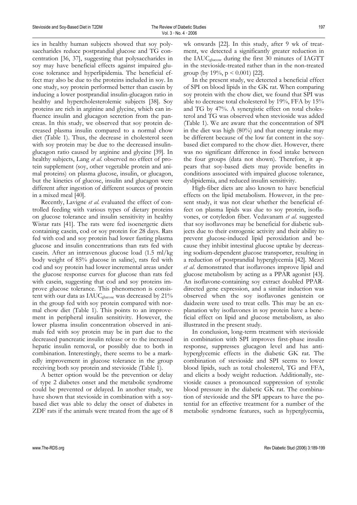ies in healthy human subjects showed that soy polysaccharides reduce postprandial glucose and TG concentration [36, 37], suggesting that polysaccharides in soy may have beneficial effects against impaired glucose tolerance and hyperlipidemia. The beneficial effect may also be due to the proteins included in soy. In one study, soy protein performed better than casein by inducing a lower postprandial insulin-glucagon ratio in healthy and hypercholesterolemic subjects [38]. Soy proteins are rich in arginine and glycine, which can influence insulin and glucagon secretion from the pancreas. In this study, we observed that soy protein decreased plasma insulin compared to a normal chow diet (Table 1). Thus, the decrease in cholesterol seen with soy protein may be due to the decreased insulinglucagon ratio caused by arginine and glycine [39]. In healthy subjects, Lang *et al*. observed no effect of protein supplement (soy, other vegetable protein and animal proteins) on plasma glucose, insulin, or glucagon, but the kinetics of glucose, insulin and glucagon were different after ingestion of different sources of protein in a mixed meal [40].

Recently, Lavigne *et al*. evaluated the effect of controlled feeding with various types of dietary proteins on glucose tolerance and insulin sensitivity in healthy Wistar rats [41]. The rats were fed isoenergetic diets containing casein, cod or soy protein for 28 days. Rats fed with cod and soy protein had lower fasting plasma glucose and insulin concentrations than rats fed with casein. After an intravenous glucose load (1.5 ml/kg body weight of 85% glucose in saline), rats fed with cod and soy protein had lower incremental areas under the glucose response curves for glucose than rats fed with casein, suggesting that cod and soy proteins improve glucose tolerance. This phenomenon is consistent with our data as IAUC<sub>glucose</sub> was decreased by 21% in the group fed with soy protein compared with normal chow diet (Table 1). This points to an improvement in peripheral insulin sensitivity. However, the lower plasma insulin concentration observed in animals fed with soy protein may be in part due to the decreased pancreatic insulin release or to the increased hepatic insulin removal, or possibly due to both in combination. Interestingly, there seems to be a markedly improvement in glucose tolerance in the group receiving both soy protein and stevioside (Table 1).

A better option would be the prevention or delay of type 2 diabetes onset and the metabolic syndrome could be prevented or delayed. In another study, we have shown that stevioside in combination with a soybased diet was able to delay the onset of diabetes in ZDF rats if the animals were treated from the age of 8 wk onwards [22]. In this study, after 9 wk of treatment, we detected a significantly greater reduction in the IAUCglucose during the first 30 minutes of IAGTT in the stevioside-treated rather than in the non-treated group (by  $19\%, p < 0.001$ ) [22].

In the present study, we detected a beneficial effect of SPI on blood lipids in the GK rat. When comparing soy protein with the chow diet, we found that SPI was able to decrease total cholesterol by 19%, FFA by 15% and TG by 47%. A synergistic effect on total cholesterol and TG was observed when stevioside was added (Table 1). We are aware that the concentration of SPI in the diet was high (80%) and that energy intake may be different because of the low fat content in the soybased diet compared to the chow diet. However, there was no significant difference in food intake between the four groups (data not shown). Therefore, it appears that soy-based diets may provide benefits in conditions associated with impaired glucose tolerance, dyslipidemia, and reduced insulin sensitivity.

High-fiber diets are also known to have beneficial effects on the lipid metabolism. However, in the present study, it was not clear whether the beneficial effect on plasma lipids was due to soy protein, isoflavones, or cotyledon fiber. Vedavanam *et al*. suggested that soy isoflavones may be beneficial for diabetic subjects due to their estrogenic activity and their ability to prevent glucose-induced lipid peroxidation and because they inhibit intestinal glucose uptake by decreasing sodium-dependent glucose transporter, resulting in a reduction of postprandial hyperglycemia [42]. Mezei *et al*. demonstrated that isoflavones improve lipid and glucose metabolism by acting as a PPAR agonist [43]. An isoflavone-containing soy extract doubled PPARdirected gene expression, and a similar induction was observed when the soy isoflavones genistein or daidzein were used to treat cells. This may be an explanation why isoflavones in soy protein have a beneficial effect on lipid and glucose metabolism, as also illustrated in the present study.

In conclusion, long-term treatment with stevioside in combination with SPI improves first-phase insulin response, suppresses glucagon level and has antihyperglycemic effects in the diabetic GK rat. The combination of stevioside and SPI seems to lower blood lipids, such as total cholesterol, TG and FFA, and elicits a body weight reduction. Additionally, stevioside causes a pronounced suppression of systolic blood pressure in the diabetic GK rat. The combination of stevioside and the SPI appears to have the potential for an effective treatment for a number of the metabolic syndrome features, such as hyperglycemia,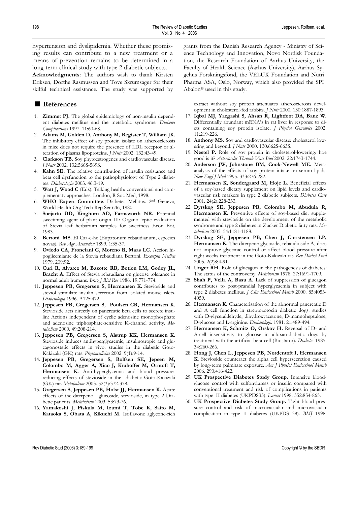hypertension and dyslipidemia. Whether these promising results can contribute to a new treatment or a means of prevention remains to be determined in a long-term clinical study with type 2 diabetic subjects.

**Acknowledgments**: The authors wish to thank Kirsten Eriksen, Dorthe Rasmussen and Tove Skrumsager for their skilful technical assistance. The study was supported by

## ■ **References**

- 1. **Zimmet PJ.** The global epidemiology of non-insulin dependent diabetes mellitus and the metabolic syndrome. *Diabetes Complications* 1997. 11:60-68.
- 2. **Adams M, Golden D, Anthony M, Register T, William JK.** The inhibitory effect of soy protein isolate on atherosclerosis in mice does not require the presence of LDL receptor or alteration of plasma lipoproteins. *J Nutr* 2002. 132:43-49.
- 3. **Clarkson TB.** Soy phytoestrogenes and cardiovascular disease. *J Nutr* 2002. 132:566S-569S.
- 4. **Kahn SE.** The relative contribution of insulin resistance and beta cell dysfunction to the pathophysiology of Type 2 diabetes. *Diabetologia* 2003. 46:3-19.
- 5. **Watt J, Wood C** (Eds). Talking health: conventional and complementaty approaches. London, R Soc Med, 1998.
- 6. **WHO Expert Committee**. Diabetes Mellitus. 2nd Geneva, World Health Org Tech Rep Ser 646, 1980.
- 7. **Soejarto DD, Kinghorn AD, Farnsworth NR.** Potential sweetining agent of plant origin III: Organo leptic evaluation of Stevia leaf herbarium samples for sweetness Econ Bot, 1983.
- 8. **Bertoni MS.** El Caa-e-he (Eupatorium rebaudianum, especies novas). *Rev Agr Assuncion* 1899. 1:35-37.
- 9. **Oviedo CA, Fronciani G, Moreno R, Maas LC.** Accion hipoglicemiante de la Stevia rebaudiana Bertoni. *Excerpta Medica* 1979. 209:92.
- 10. **Curi R, Alvarez M, Bazotte RB, Botion LM, Godoy JL, Bracht A.** Effect of Stevia rebaudiana on glucose tolerance in normal adult humans. *Braz J Biol Res* 1986. 19:771-774.
- 11. **Jeppesen PB, Gregersen S, Hermansen K.** Stevioside and steviol stimulate insulin secretion from isolated mouse islets. *Diabetologia* 1996. A125:472.
- 12. **Jeppesen PB, Gregersen S, Poulsen CR, Hermansen K.** Stevioside acts directly on pancreatic beta cells to secrete insulin: Actions independent of cyclic adenosine monophosphate and adenosine triphosphate-sensitive K-channel activity. *Metabolism* 2000. 49:208-214.
- 13. **Jeppesen PB, Gregersen S, Alstrup KK, Hermansen K.** Stevioside induces antihyperglycaemic, insulinotropic and glucagonostatic effects in vivo: studies in the diabetic Goto-Kakizaki (GK) rats. *Phytomedicine* 2002. 9(1):9-14.
- 14. **Jeppesen PB, Gregersen S, Rolfsen SE, Jepsen M, Colombo M, Agger A, Xiao J, Kruhøffer M, Orntoft T, Hermansen K.** Anti-hyperglycemic and blood pressurereducing effects of stevioside in the diabetic Goto-Kakizaki (GK) rat. *Metabolism* 2003. 52(3):372-378.
- 15. **Gregersen S, Jeppesen PB, Holst JJ, Hermansen K.** Acute effects of the diterpene glucoside, stevioside, in type 2 Diabetic patients. *Metabolism* 2003. 53:73-76.
- 16. **Yamakoshi J, Piskula M, Izumi T, Tobe K, Saito M, Kataoka S, Obata A, Kikuchi M.** Isoflavone aglycone-rich

grants from the Danish Research Agency - Ministry of Science Technology and Innovation, Novo Nordisk Foundation, the Research Foundation of Aarhus University, the Faculty of Health Science (Aarhus University), Aarhus Sygehus Forskningsfond, the VELUX Foundation and Nutri Pharma ASA, Oslo, Norway, which also provided the SPI Abalon® used in this study.

extract without soy protein attenuates atheroscierosis development in cholesterol-fed rabbits. *J Nutr* 2000. 130:1887-1893.

- 17. **Iqbal MJ, Yaegashi S, Ahsan R, Lightfoot DA, Banz W.** Differentially abundant mRNA's in rat liver in response to diets containing soy protein isolate. *J Physiol Genomics* 2002. 11:219-226.
- 18. **Anthony MS.** Soy and cardiovascular disease: cholesterol lowering and beyond. *J Nutr* 2000. 130:662S-663S.
- 19. **Nestel P.** Role of soy protein in cholesterol-lowering: hoe good is it? *Arterioscler Thromb Vasc Biol* 2002. 22:1743-1744.
- 20. **Anderson JW, Johnstone BM, Cook-Newell ME.** Metaanalysis of the effects of soy protein intake on serum lipids. *New Engl J Med* 1995. 333:276-282.
- 21. **Hermansen K, Sondergaard M, Hoje L.** Beneficial effects of a soy-based dietary supplement on lipid levels and cardiovascular risk markers in type 2 diabetic subjects. *Diabetes Care* 2001. 24(2):228-233.
- 22. **Dyrskog SE, Jeppesen PB, Colombo M, Abudula R, Hermansen K.** Preventive effects of soy-based diet supplemented with stevioside on the development of the metabolic syndrome and type 2 diabetes in Zucker Diabetic fatty rats. *Metabolism* 2005. 54:1181-1188.
- 23. **Dyrskog SE, Jeppesen PB, Chen J, Christensen LP, Hermansen K.** The diterpene glycoside, rebaudioside A, does not improve glycemic control or affect blood pressure after eight weeks treatment in the Goto-Kakizaki rat. *Rev Diabet Stud*  2005. 2(2):84-91.
- 24. **Unger RH.** Role of glucagon in the pathogenesis of diabetes: The status of the controversy. *Metabolism* 1978. 27:1691-1709.
- 25. **Shah P, Vella A, Basu A.** Lack of suppression of glucagon contributes to post-prandial hyperglycaemia in subject with type 2 diabetes mellitus. *J Clin Endocrinol Metab* 2000. 85:4053- 4059.
- 26. **Hermansen K.** Characterisation of the abnormal pancreatic D and A cell function in streptozotocin diabetic dogs: studies with D-glyceraldehyde, dihydroxyacetone, D-mannoheptulose, D-glucose and L-arginine. *Diabetologia* 1981. 21:489-494.
- 27. **Hermansen K, Schmitz O, Orskov H.** Reversal of D- and A-cell insensitivity to glucose in alloxan-diabetic dogs by treatment with the artificial beta cell (Biostator). *Diabetes* 1985. 34:260-266.
- 28. **Hong J, Chen L, Jeppesen PB, Nordentoft I, Hermansen K.** Stevioside counteract the alpha cell hypersecretion caused by long-term palmitate exposure. *Am J Physiol Endocrinol Metab*  2006. 290:416-422.
- 29. **UK Prospective Diabetes Study Group.** Intensive bloodglucose control with sulfonylureas or insulin compared with conventional treatment and risk of complications in patients with type II diabetes (UKPDS33). *Lancet* 1998. 352:854-865.
- 30. **UK Prospective Diabetes Study Group.** Tight blood pressure control and risk of macrovascular and microvascular complication in type II diabetes (UKPDS 38). *BMJ* 1998.